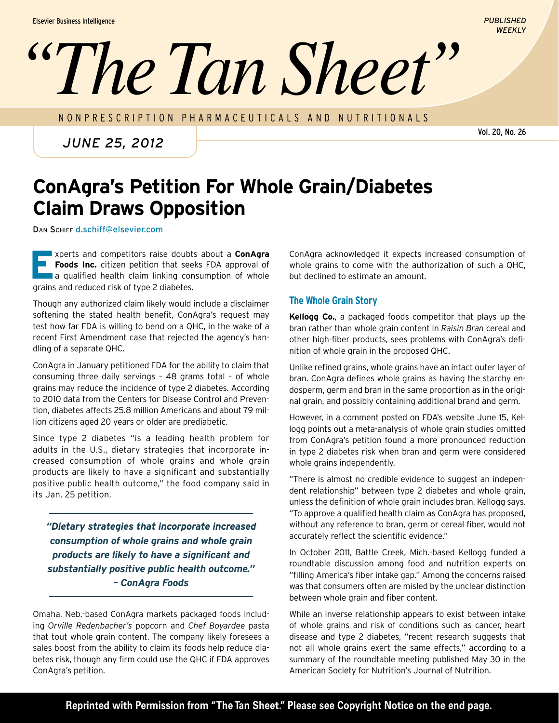# *''The Tan Sheet''*

NONPRESCRIPTION PHARMACEUTICALS AND nutritionals

*June 25, 2012*

Vol. 20, No. 26

*PUBLISHED WEEKLY*

## **ConAgra's Petition For Whole Grain/Diabetes Claim Draws Opposition**

DAN SCHIFF d.schiff@elsevier.com

**Experts and competitors raise doubts about a <b>ConAgra**<br> **E Foods Inc.** citizen petition that seeks FDA approval of<br>
a qualified health claim linking consumption of whole **Foods Inc.** citizen petition that seeks FDA approval of grains and reduced risk of type 2 diabetes.

Though any authorized claim likely would include a disclaimer softening the stated health benefit, ConAgra's request may test how far FDA is willing to bend on a QHC, in the wake of a recent First Amendment case that rejected the agency's handling of a separate QHC.

ConAgra in January petitioned FDA for the ability to claim that consuming three daily servings – 48 grams total – of whole grains may reduce the incidence of type 2 diabetes. According to 2010 data from the Centers for Disease Control and Prevention, diabetes affects 25.8 million Americans and about 79 million citizens aged 20 years or older are prediabetic.

Since type 2 diabetes "is a leading health problem for adults in the U.S., dietary strategies that incorporate increased consumption of whole grains and whole grain products are likely to have a significant and substantially positive public health outcome," the food company said in its Jan. 25 petition.

*"Dietary strategies that incorporate increased consumption of whole grains and whole grain products are likely to have a significant and substantially positive public health outcome." – ConAgra Foods*

Omaha, Neb.-based ConAgra markets packaged foods including *Orville Redenbacher's* popcorn and *Chef Boyardee* pasta that tout whole grain content. The company likely foresees a sales boost from the ability to claim its foods help reduce diabetes risk, though any firm could use the QHC if FDA approves ConAgra's petition.

ConAgra acknowledged it expects increased consumption of whole grains to come with the authorization of such a QHC, but declined to estimate an amount.

### **The Whole Grain Story**

**Kellogg Co.**, a packaged foods competitor that plays up the bran rather than whole grain content in *Raisin Bran* cereal and other high-fiber products, sees problems with ConAgra's definition of whole grain in the proposed QHC.

Unlike refined grains, whole grains have an intact outer layer of bran. ConAgra defines whole grains as having the starchy endosperm, germ and bran in the same proportion as in the original grain, and possibly containing additional brand and germ.

However, in a comment posted on FDA's website June 15, Kellogg points out a meta-analysis of whole grain studies omitted from ConAgra's petition found a more pronounced reduction in type 2 diabetes risk when bran and germ were considered whole grains independently.

"There is almost no credible evidence to suggest an independent relationship" between type 2 diabetes and whole grain, unless the definition of whole grain includes bran, Kellogg says. "To approve a qualified health claim as ConAgra has proposed, without any reference to bran, germ or cereal fiber, would not accurately reflect the scientific evidence."

In October 2011, Battle Creek, Mich.-based Kellogg funded a roundtable discussion among food and nutrition experts on "filling America's fiber intake gap." Among the concerns raised was that consumers often are misled by the unclear distinction between whole grain and fiber content.

While an inverse relationship appears to exist between intake of whole grains and risk of conditions such as cancer, heart disease and type 2 diabetes, "recent research suggests that not all whole grains exert the same effects," according to a summary of the roundtable meeting published May 30 in the American Society for Nutrition's Journal of Nutrition.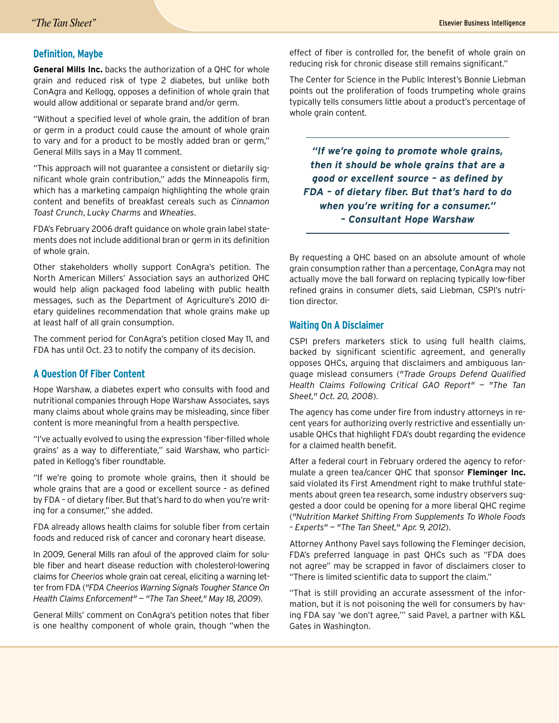#### **Definition, Maybe**

**General Mills Inc.** backs the authorization of a QHC for whole grain and reduced risk of type 2 diabetes, but unlike both ConAgra and Kellogg, opposes a definition of whole grain that would allow additional or separate brand and/or germ.

"Without a specified level of whole grain, the addition of bran or germ in a product could cause the amount of whole grain to vary and for a product to be mostly added bran or germ," General Mills says in a May 11 comment.

"This approach will not guarantee a consistent or dietarily significant whole grain contribution," adds the Minneapolis firm, which has a marketing campaign highlighting the whole grain content and benefits of breakfast cereals such as *Cinnamon Toast Crunch*, *Lucky Charms* and *Wheaties*.

FDA's February 2006 draft guidance on whole grain label statements does not include additional bran or germ in its definition of whole grain.

Other stakeholders wholly support ConAgra's petition. The North American Millers' Association says an authorized QHC would help align packaged food labeling with public health messages, such as the Department of Agriculture's 2010 dietary guidelines recommendation that whole grains make up at least half of all grain consumption.

The comment period for ConAgra's petition closed May 11, and FDA has until Oct. 23 to notify the company of its decision.

#### **A Question Of Fiber Content**

Hope Warshaw, a diabetes expert who consults with food and nutritional companies through Hope Warshaw Associates, says many claims about whole grains may be misleading, since fiber content is more meaningful from a health perspective.

"I've actually evolved to using the expression 'fiber-filled whole grains' as a way to differentiate," said Warshaw, who participated in Kellogg's fiber roundtable.

"If we're going to promote whole grains, then it should be whole grains that are a good or excellent source – as defined by FDA – of dietary fiber. But that's hard to do when you're writing for a consumer," she added.

FDA already allows health claims for soluble fiber from certain foods and reduced risk of cancer and coronary heart disease.

In 2009, General Mills ran afoul of the approved claim for soluble fiber and heart disease reduction with cholesterol-lowering claims for *Cheerios* whole grain oat cereal, eliciting a warning letter from FDA (*"FDA Cheerios Warning Signals Tougher Stance On Health Claims Enforcement" — "The Tan Sheet," May 18, 2009*).

General Mills' comment on ConAgra's petition notes that fiber is one healthy component of whole grain, though "when the effect of fiber is controlled for, the benefit of whole grain on reducing risk for chronic disease still remains significant."

The Center for Science in the Public Interest's Bonnie Liebman points out the proliferation of foods trumpeting whole grains typically tells consumers little about a product's percentage of whole grain content.

*"If we're going to promote whole grains, then it should be whole grains that are a good or excellent source – as defined by FDA – of dietary fiber. But that's hard to do when you're writing for a consumer." – Consultant Hope Warshaw*

By requesting a QHC based on an absolute amount of whole grain consumption rather than a percentage, ConAgra may not actually move the ball forward on replacing typically low-fiber refined grains in consumer diets, said Liebman, CSPI's nutrition director.

#### **Waiting On A Disclaimer**

CSPI prefers marketers stick to using full health claims, backed by significant scientific agreement, and generally opposes QHCs, arguing that disclaimers and ambiguous language mislead consumers (*"Trade Groups Defend Qualified Health Claims Following Critical GAO Report" — "The Tan Sheet," Oct. 20, 2008*).

The agency has come under fire from industry attorneys in recent years for authorizing overly restrictive and essentially unusable QHCs that highlight FDA's doubt regarding the evidence for a claimed health benefit.

After a federal court in February ordered the agency to reformulate a green tea/cancer QHC that sponsor **Fleminger Inc.** said violated its First Amendment right to make truthful statements about green tea research, some industry observers suggested a door could be opening for a more liberal QHC regime (*"Nutrition Market Shifting From Supplements To Whole Foods – Experts" — "The Tan Sheet," Apr. 9, 2012*).

Attorney Anthony Pavel says following the Fleminger decision, FDA's preferred language in past QHCs such as "FDA does not agree" may be scrapped in favor of disclaimers closer to "There is limited scientific data to support the claim."

"That is still providing an accurate assessment of the information, but it is not poisoning the well for consumers by having FDA say 'we don't agree,'" said Pavel, a partner with K&L Gates in Washington.